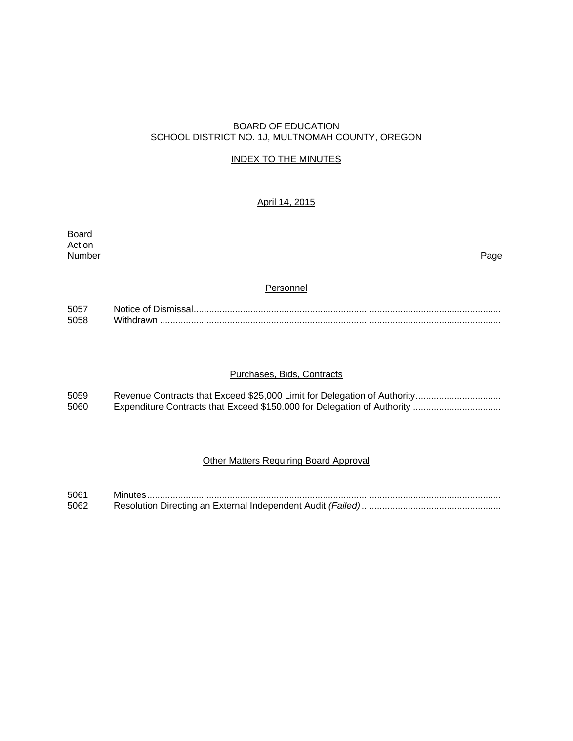### BOARD OF EDUCATION SCHOOL DISTRICT NO. 1J, MULTNOMAH COUNTY, OREGON

# INDEX TO THE MINUTES

# April 14, 2015

Board Action<br>Number Number Page

# **Personnel**

| 505  |           |
|------|-----------|
| 5058 | lithdrawr |

### Purchases, Bids, Contracts

| 5059 |  |
|------|--|
| 5060 |  |

# Other Matters Requiring Board Approval

| 5061 |  |
|------|--|
| 5062 |  |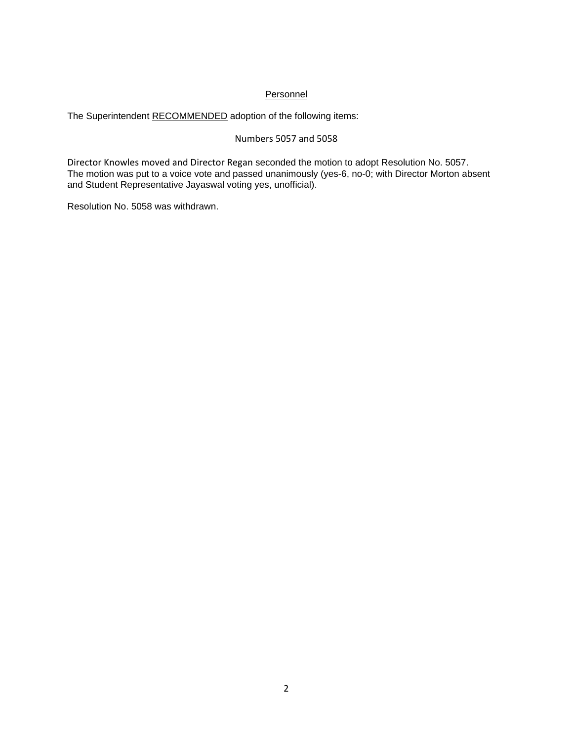# **Personnel**

The Superintendent RECOMMENDED adoption of the following items:

# Numbers 5057 and 5058

Director Knowles moved and Director Regan seconded the motion to adopt Resolution No. 5057. The motion was put to a voice vote and passed unanimously (yes-6, no-0; with Director Morton absent and Student Representative Jayaswal voting yes, unofficial).

Resolution No. 5058 was withdrawn.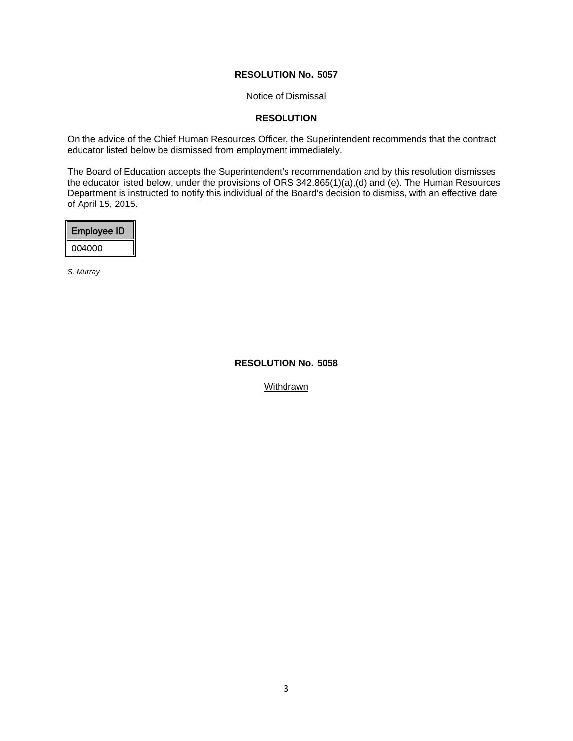### Notice of Dismissal

# **RESOLUTION**

On the advice of the Chief Human Resources Officer, the Superintendent recommends that the contract educator listed below be dismissed from employment immediately.

The Board of Education accepts the Superintendent's recommendation and by this resolution dismisses the educator listed below, under the provisions of ORS 342.865(1)(a),(d) and (e). The Human Resources Department is instructed to notify this individual of the Board's decision to dismiss, with an effective date of April 15, 2015.

| I<br><b>Employee ID</b> |  |
|-------------------------|--|
| li<br>004000            |  |

*S. Murray* 

#### **RESOLUTION No. 5058**

Withdrawn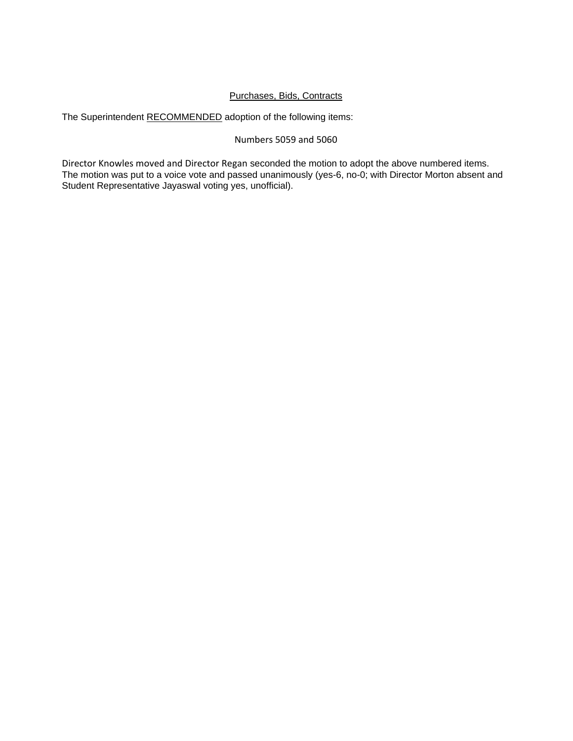# Purchases, Bids, Contracts

The Superintendent RECOMMENDED adoption of the following items:

# Numbers 5059 and 5060

Director Knowles moved and Director Regan seconded the motion to adopt the above numbered items. The motion was put to a voice vote and passed unanimously (yes-6, no-0; with Director Morton absent and Student Representative Jayaswal voting yes, unofficial).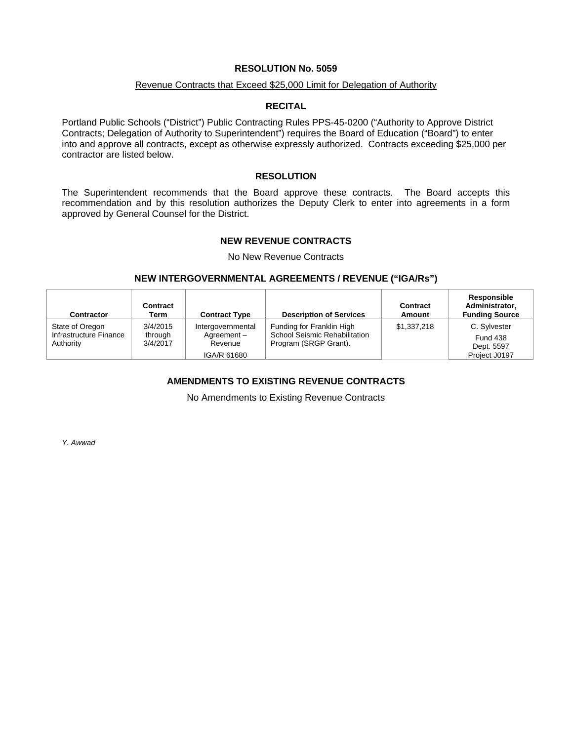#### Revenue Contracts that Exceed \$25,000 Limit for Delegation of Authority

#### **RECITAL**

Portland Public Schools ("District") Public Contracting Rules PPS-45-0200 ("Authority to Approve District Contracts; Delegation of Authority to Superintendent") requires the Board of Education ("Board") to enter into and approve all contracts, except as otherwise expressly authorized. Contracts exceeding \$25,000 per contractor are listed below.

#### **RESOLUTION**

The Superintendent recommends that the Board approve these contracts. The Board accepts this recommendation and by this resolution authorizes the Deputy Clerk to enter into agreements in a form approved by General Counsel for the District.

### **NEW REVENUE CONTRACTS**

No New Revenue Contracts

#### **NEW INTERGOVERNMENTAL AGREEMENTS / REVENUE ("IGA/Rs")**

| Contractor                                             | Contract<br>Term                | <b>Contract Type</b>                       | <b>Description of Services</b>                                                      | Contract<br>Amount | Responsible<br>Administrator,<br><b>Funding Source</b> |
|--------------------------------------------------------|---------------------------------|--------------------------------------------|-------------------------------------------------------------------------------------|--------------------|--------------------------------------------------------|
| State of Oregon<br>Infrastructure Finance<br>Authority | 3/4/2015<br>through<br>3/4/2017 | Intergovernmental<br>Agreement-<br>Revenue | Funding for Franklin High<br>School Seismic Rehabilitation<br>Program (SRGP Grant). | \$1,337,218        | C. Sylvester<br><b>Fund 438</b><br>Dept. 5597          |
|                                                        |                                 | IGA/R 61680                                |                                                                                     |                    | Project J0197                                          |

# **AMENDMENTS TO EXISTING REVENUE CONTRACTS**

No Amendments to Existing Revenue Contracts

*Y. Awwad*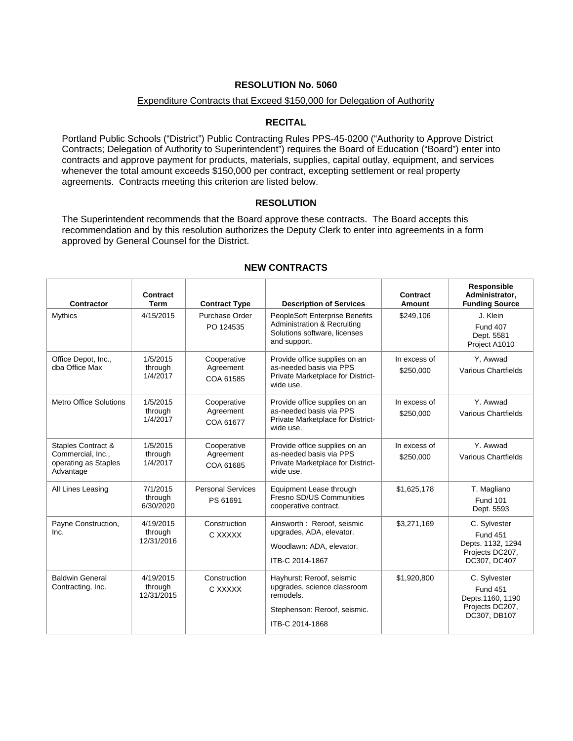### Expenditure Contracts that Exceed \$150,000 for Delegation of Authority

### **RECITAL**

Portland Public Schools ("District") Public Contracting Rules PPS-45-0200 ("Authority to Approve District Contracts; Delegation of Authority to Superintendent") requires the Board of Education ("Board") enter into contracts and approve payment for products, materials, supplies, capital outlay, equipment, and services whenever the total amount exceeds \$150,000 per contract, excepting settlement or real property agreements. Contracts meeting this criterion are listed below.

### **RESOLUTION**

The Superintendent recommends that the Board approve these contracts. The Board accepts this recommendation and by this resolution authorizes the Deputy Clerk to enter into agreements in a form approved by General Counsel for the District.

| Contractor                                                                              | Contract<br><b>Term</b>            | <b>Contract Type</b>                  | <b>Description of Services</b>                                                                                           | Contract<br>Amount        | <b>Responsible</b><br>Administrator,<br><b>Funding Source</b>                           |
|-----------------------------------------------------------------------------------------|------------------------------------|---------------------------------------|--------------------------------------------------------------------------------------------------------------------------|---------------------------|-----------------------------------------------------------------------------------------|
| Mythics                                                                                 | 4/15/2015                          | Purchase Order<br>PO 124535           | PeopleSoft Enterprise Benefits<br>Administration & Recruiting<br>Solutions software, licenses<br>and support.            | \$249,106                 | J. Klein<br><b>Fund 407</b><br>Dept. 5581<br>Project A1010                              |
| Office Depot, Inc.,<br>dba Office Max                                                   | 1/5/2015<br>through<br>1/4/2017    | Cooperative<br>Agreement<br>COA 61585 | Provide office supplies on an<br>as-needed basis via PPS<br>Private Marketplace for District-<br>wide use.               | In excess of<br>\$250,000 | Y. Awwad<br><b>Various Chartfields</b>                                                  |
| <b>Metro Office Solutions</b>                                                           | 1/5/2015<br>through<br>1/4/2017    | Cooperative<br>Agreement<br>COA 61677 | Provide office supplies on an<br>as-needed basis via PPS<br>Private Marketplace for District-<br>wide use.               | In excess of<br>\$250,000 | Y. Awwad<br>Various Chartfields                                                         |
| <b>Staples Contract &amp;</b><br>Commercial, Inc.,<br>operating as Staples<br>Advantage | 1/5/2015<br>through<br>1/4/2017    | Cooperative<br>Agreement<br>COA 61685 | Provide office supplies on an<br>as-needed basis via PPS<br>Private Marketplace for District-<br>wide use.               | In excess of<br>\$250,000 | Y. Awwad<br>Various Chartfields                                                         |
| All Lines Leasing                                                                       | 7/1/2015<br>through<br>6/30/2020   | <b>Personal Services</b><br>PS 61691  | Equipment Lease through<br>Fresno SD/US Communities<br>cooperative contract.                                             | \$1,625,178               | T. Magliano<br><b>Fund 101</b><br>Dept. 5593                                            |
| Payne Construction,<br>Inc.                                                             | 4/19/2015<br>through<br>12/31/2016 | Construction<br>C XXXXX               | Ainsworth: Reroof. seismic<br>upgrades, ADA, elevator.<br>Woodlawn: ADA, elevator.<br>ITB-C 2014-1867                    | \$3,271,169               | C. Sylvester<br><b>Fund 451</b><br>Depts. 1132, 1294<br>Projects DC207,<br>DC307, DC407 |
| <b>Baldwin General</b><br>Contracting, Inc.                                             | 4/19/2015<br>through<br>12/31/2015 | Construction<br>C XXXXX               | Hayhurst: Reroof, seismic<br>upgrades, science classroom<br>remodels.<br>Stephenson: Reroof, seismic.<br>ITB-C 2014-1868 | \$1,920,800               | C. Sylvester<br><b>Fund 451</b><br>Depts.1160, 1190<br>Projects DC207,<br>DC307, DB107  |

# **NEW CONTRACTS**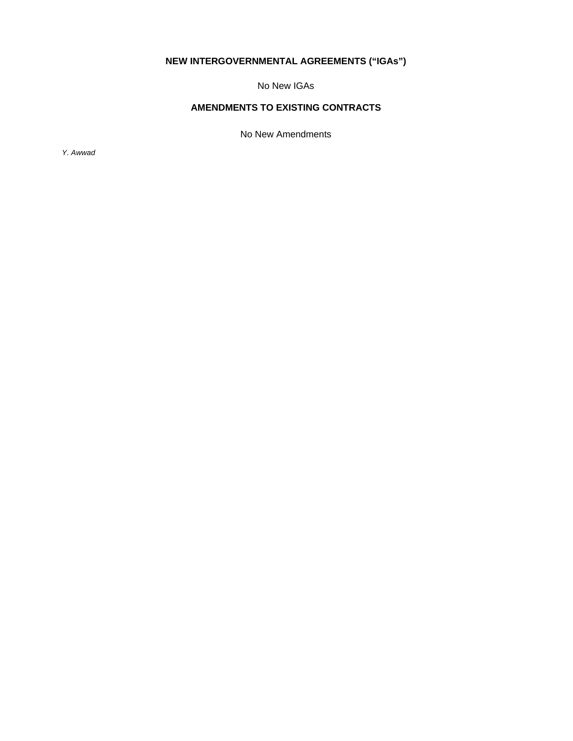# **NEW INTERGOVERNMENTAL AGREEMENTS ("IGAs")**

No New IGAs

# **AMENDMENTS TO EXISTING CONTRACTS**

No New Amendments

*Y. Awwad*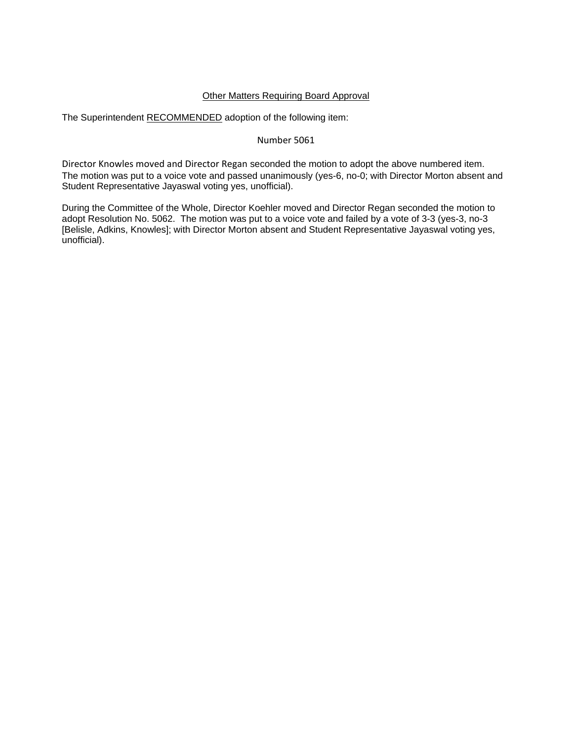## Other Matters Requiring Board Approval

The Superintendent RECOMMENDED adoption of the following item:

### Number 5061

Director Knowles moved and Director Regan seconded the motion to adopt the above numbered item. The motion was put to a voice vote and passed unanimously (yes-6, no-0; with Director Morton absent and Student Representative Jayaswal voting yes, unofficial).

During the Committee of the Whole, Director Koehler moved and Director Regan seconded the motion to adopt Resolution No. 5062. The motion was put to a voice vote and failed by a vote of 3-3 (yes-3, no-3 [Belisle, Adkins, Knowles]; with Director Morton absent and Student Representative Jayaswal voting yes, unofficial).